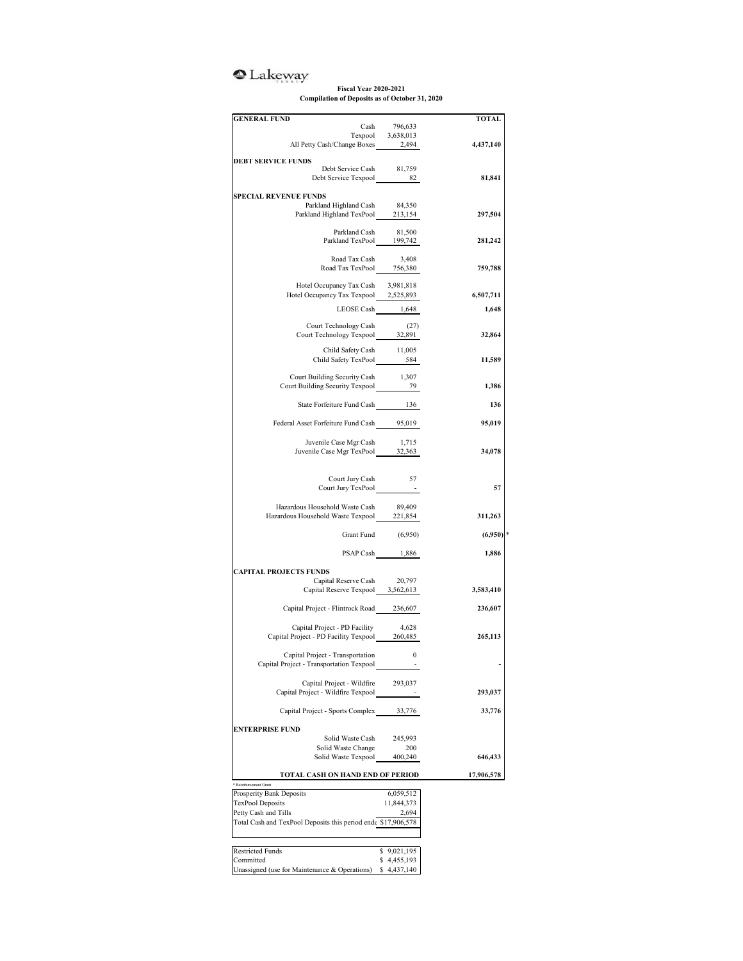## <sup>o</sup>Lakeway

## **Fiscal Year 2020-2021 Compilation of Deposits as of October 31, 2020**

| <b>GENERAL FUND</b>                                          |                                   | <b>TOTAL</b> |
|--------------------------------------------------------------|-----------------------------------|--------------|
|                                                              | Cash 796,633<br>Texpool 3,638,013 |              |
| All Petty Cash/Change Boxes 2,494                            |                                   | 4,437,140    |
|                                                              |                                   |              |
| <b>DEBT SERVICE FUNDS</b><br>Debt Service Cash 81,759        |                                   |              |
| Debt Service Texpool 82                                      |                                   | 81,841       |
|                                                              |                                   |              |
| <b>SPECIAL REVENUE FUNDS</b>                                 |                                   |              |
| Parkland Highland Cash<br>Parkland Highland TexPool 213,154  | 84,350                            | 297,504      |
|                                                              |                                   |              |
| Parkland Cash 81,500<br>Parkland TexPool 199,742             |                                   | 281,242      |
|                                                              |                                   |              |
| Road Tax Cash 3,408<br>Road Tax TexPool 756,380              |                                   |              |
|                                                              |                                   | 759,788      |
| Hotel Occupancy Tax Cash                                     | 3,981,818                         |              |
| Hotel Occupancy Tax Texpool 2,525,893                        |                                   | 6,507,711    |
| LEOSE Cash 1,648                                             |                                   | 1,648        |
|                                                              |                                   |              |
| Court Technology Cash<br>Court Technology Texpool 32,891     | (27)                              |              |
|                                                              |                                   | 32,864       |
| Child Safety Cash                                            | 11,005                            |              |
| Child Safety TexPool 584                                     |                                   | 11,589       |
| Court Building Security Cash                                 | 1,307                             |              |
| Court Building Security Texpool 79                           |                                   | 1,386        |
|                                                              |                                   |              |
| State Forfeiture Fund Cash 136                               |                                   | 136          |
| Federal Asset Forfeiture Fund Cash 95,019                    |                                   | 95,019       |
|                                                              |                                   |              |
| Juvenile Case Mgr Cash                                       | 1,715                             |              |
| Juvenile Case Mgr TexPool 32,363                             |                                   | 34,078       |
|                                                              |                                   |              |
| Court Jury Cash                                              | 57                                |              |
| Court Jury TexPool                                           |                                   | 57           |
| Hazardous Household Waste Cash                               | 89,409                            |              |
| Hazardous Household Waste Texpool 221,854                    |                                   | 311,263      |
|                                                              |                                   |              |
|                                                              | Grant Fund (6,950)                | $(6,950)$ *  |
|                                                              | PSAP Cash 1,886                   | 1,886        |
|                                                              |                                   |              |
| <b>CAPITAL PROJECTS FUNDS</b>                                |                                   |              |
| Capital Reserve Cash 20,797                                  |                                   |              |
| Capital Reserve Texpool 3,562,613                            |                                   | 3,583,410    |
| Capital Project - Flintrock Road 236,607                     |                                   | 236,607      |
|                                                              |                                   |              |
| Capital Project - PD Facility                                | 4,628                             |              |
| Capital Project - PD Facility Texpool 260,485                |                                   | 265,113      |
| Capital Project - Transportation                             | $\sim$ 0                          |              |
| Capital Project - Transportation Texpool                     |                                   |              |
|                                                              |                                   |              |
| Capital Project - Wildfire                                   | 293,037                           |              |
| Capital Project - Wildfire Texpool                           |                                   | 293,037      |
| Capital Project - Sports Complex                             | 33,776                            | 33,776       |
|                                                              |                                   |              |
| <b>ENTERPRISE FUND</b>                                       |                                   |              |
| Solid Waste Cash<br>Solid Waste Change                       | 245,993<br>200                    |              |
| Solid Waste Texpool                                          | 400,240                           | 646,433      |
|                                                              |                                   |              |
| TOTAL CASH ON HAND END OF PERIOD                             |                                   | 17,906,578   |
| * Reimbursement Grant<br>Prosperity Bank Deposits            | 6,059,512                         |              |
| TexPool Deposits                                             | 11,844,373                        |              |
| Petty Cash and Tills                                         | 2,694                             |              |
| Total Cash and TexPool Deposits this period end \$17,906,578 |                                   |              |
|                                                              |                                   |              |
| <b>Restricted Funds</b>                                      | \$9,021,195                       |              |
| Committed                                                    | \$4,455,193                       |              |
| Unassigned (use for Maintenance & Operations)                | \$4,437,140                       |              |